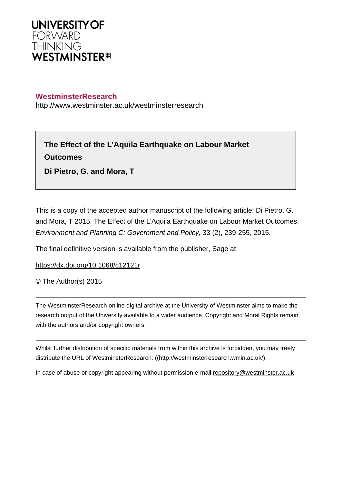

## **WestminsterResearch**

http://www.westminster.ac.uk/westminsterresearch

**The Effect of the L'Aquila Earthquake on Labour Market Outcomes**

**Di Pietro, G. and Mora, T**

This is a copy of the accepted author manuscript of the following article: Di Pietro, G. and Mora, T 2015. The Effect of the L'Aquila Earthquake on Labour Market Outcomes. Environment and Planning C: Government and Policy, 33 (2), 239-255, 2015.

The final definitive version is available from the publisher, Sage at:

<https://dx.doi.org/10.1068/c12121r>

© The Author(s) 2015

The WestminsterResearch online digital archive at the University of Westminster aims to make the research output of the University available to a wider audience. Copyright and Moral Rights remain with the authors and/or copyright owners.

Whilst further distribution of specific materials from within this archive is forbidden, you may freely distribute the URL of WestminsterResearch: [\(\(http://westminsterresearch.wmin.ac.uk/](http://westminsterresearch.wmin.ac.uk/)).

In case of abuse or copyright appearing without permission e-mail <repository@westminster.ac.uk>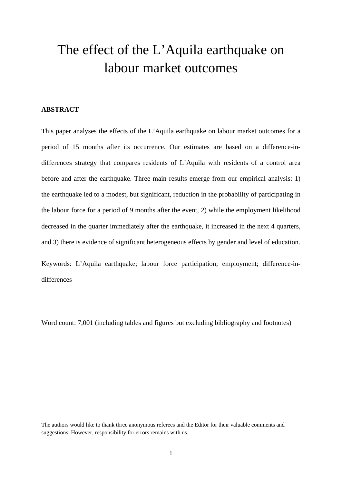# The effect of the L'Aquila earthquake on labour market outcomes

#### **ABSTRACT**

This paper analyses the effects of the L'Aquila earthquake on labour market outcomes for a period of 15 months after its occurrence. Our estimates are based on a difference-indifferences strategy that compares residents of L'Aquila with residents of a control area before and after the earthquake. Three main results emerge from our empirical analysis: 1) the earthquake led to a modest, but significant, reduction in the probability of participating in the labour force for a period of 9 months after the event, 2) while the employment likelihood decreased in the quarter immediately after the earthquake, it increased in the next 4 quarters, and 3) there is evidence of significant heterogeneous effects by gender and level of education.

Keywords: L'Aquila earthquake; labour force participation; employment; difference-indifferences

Word count: 7,001 (including tables and figures but excluding bibliography and footnotes)

The authors would like to thank three anonymous referees and the Editor for their valuable comments and suggestions. However, responsibility for errors remains with us.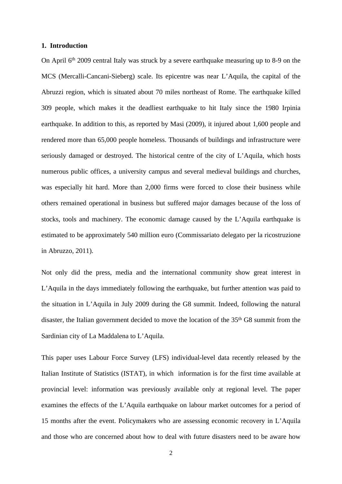#### **1. Introduction**

On April 6<sup>th</sup> 2009 central Italy was struck by a severe earthquake measuring up to 8-9 on the MCS (Mercalli-Cancani-Sieberg) scale. Its epicentre was near L'Aquila, the capital of the Abruzzi region, which is situated about 70 miles northeast of Rome. The earthquake killed 309 people, which makes it the deadliest [earthquake](http://en.wikipedia.org/wiki/List_of_earthquakes_in_Italy) to hit Italy since the 1980 [Irpinia](http://en.wikipedia.org/wiki/1980_Irpinia_earthquake) [earthquake.](http://en.wikipedia.org/wiki/1980_Irpinia_earthquake) In addition to this, as reported by Masi (2009), it injured about 1,600 people and rendered more than 65,000 people homeless. Thousands of buildings and infrastructure were seriously damaged or destroyed. The historical centre of the city of L'Aquila, which hosts numerous public offices, a university campus and several medieval buildings and churches, was especially hit hard. More than 2,000 firms were forced to close their business while others remained operational in business but suffered major damages because of the loss of stocks, tools and machinery. The economic damage caused by the L'Aquila earthquake is estimated to be approximately 540 million euro (Commissariato delegato per la ricostruzione in Abruzzo, 2011).

Not only did the press, media and the international community show great interest in L'Aquila in the days immediately following the earthquake, but further attention was paid to the situation in L'Aquila in July 2009 during the G8 summit. Indeed, following the natural disaster, the Italian government decided to move the location of the 35<sup>th</sup> G8 summit from the Sardinian city of La Maddalena to L'Aquila.

This paper uses Labour Force Survey (LFS) individual-level data recently released by the Italian Institute of Statistics (ISTAT), in which information is for the first time available at provincial level: information was previously available only at regional level. The paper examines the effects of the L'Aquila earthquake on labour market outcomes for a period of 15 months after the event. Policymakers who are assessing economic recovery in L'Aquila and those who are concerned about how to deal with future disasters need to be aware how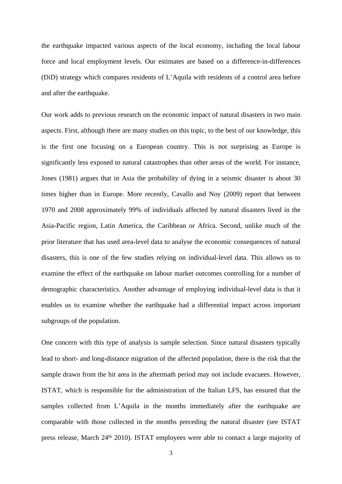the earthquake impacted various aspects of the local economy, including the local labour force and local employment levels. Our estimates are based on a difference-in-differences (DiD) strategy which compares residents of L'Aquila with residents of a control area before and after the earthquake.

Our work adds to previous research on the economic impact of natural disasters in two main aspects. First, although there are many studies on this topic, to the best of our knowledge, this is the first one focusing on a European country. This is not surprising as Europe is significantly less exposed to natural catastrophes than other areas of the world. For instance, Jones (1981) argues that in Asia the probability of dying in a seismic disaster is about 30 times higher than in Europe. More recently, Cavallo and Noy (2009) report that between 1970 and 2008 approximately 99% of individuals affected by natural disasters lived in the Asia-Pacific region, Latin America, the Caribbean or Africa. Second, unlike much of the prior literature that has used area-level data to analyse the economic consequences of natural disasters, this is one of the few studies relying on individual-level data. This allows us to examine the effect of the earthquake on labour market outcomes controlling for a number of demographic characteristics. Another advantage of employing individual-level data is that it enables us to examine whether the earthquake had a differential impact across important subgroups of the population.

One concern with this type of analysis is sample selection. Since natural disasters typically lead to short- and long-distance migration of the affected population, there is the risk that the sample drawn from the hit area in the aftermath period may not include evacuees. However, ISTAT, which is responsible for the administration of the Italian LFS, has ensured that the samples collected from L'Aquila in the months immediately after the earthquake are comparable with those collected in the months preceding the natural disaster (see ISTAT press release, March 24th 2010). ISTAT employees were able to contact a large majority of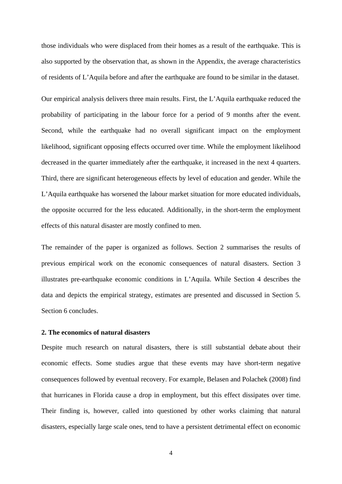those individuals who were displaced from their homes as a result of the earthquake. This is also supported by the observation that, as shown in the Appendix, the average characteristics of residents of L'Aquila before and after the earthquake are found to be similar in the dataset.

Our empirical analysis delivers three main results. First, the L'Aquila earthquake reduced the probability of participating in the labour force for a period of 9 months after the event. Second, while the earthquake had no overall significant impact on the employment likelihood, significant opposing effects occurred over time. While the employment likelihood decreased in the quarter immediately after the earthquake, it increased in the next 4 quarters. Third, there are significant heterogeneous effects by level of education and gender. While the L'Aquila earthquake has worsened the labour market situation for more educated individuals, the opposite occurred for the less educated. Additionally, in the short-term the employment effects of this natural disaster are mostly confined to men.

The remainder of the paper is organized as follows. Section 2 summarises the results of previous empirical work on the economic consequences of natural disasters. Section 3 illustrates pre-earthquake economic conditions in L'Aquila. While Section 4 describes the data and depicts the empirical strategy, estimates are presented and discussed in Section 5. Section 6 concludes.

#### **2. The economics of natural disasters**

Despite much research on natural disasters, there is still substantial debate about their economic effects. Some studies argue that these events may have short-term negative consequences followed by eventual recovery. For example, Belasen and Polachek (2008) find that hurricanes in Florida cause a drop in employment, but this effect dissipates over time. Their finding is, however, called into questioned by other works claiming that natural disasters, especially large scale ones, tend to have a persistent detrimental effect on economic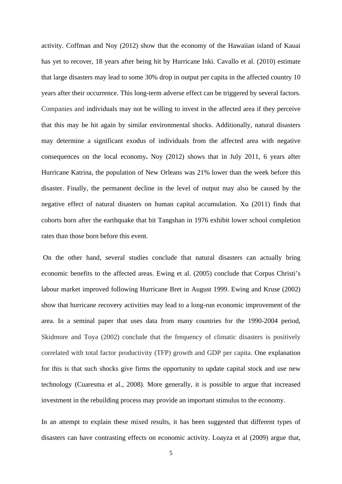activity. Coffman and Noy (2012) show that the economy of the Hawaiian island of Kauai has yet to recover, 18 years after being hit by Hurricane Inki. Cavallo et al. (2010) estimate that large disasters may lead to some 30% drop in output per capita in the affected country 10 years after their occurrence. This long-term adverse effect can be triggered by several factors. Companies and individuals may not be willing to invest in the affected area if they perceive that this may be hit again by similar environmental shocks. Additionally, natural disasters may determine a significant exodus of individuals from the affected area with negative consequences on the local economy**.** Noy (2012) shows that in July 2011, 6 years after Hurricane Katrina, the population of New Orleans was 21% lower than the week before this disaster. Finally, the permanent decline in the level of output may also be caused by the negative effect of natural disasters on human capital accumulation. Xu (2011) finds that cohorts born after the earthquake that hit Tangshan in 1976 exhibit lower school completion rates than those born before this event.

On the other hand, several studies conclude that natural disasters can actually bring economic benefits to the affected areas. Ewing et al. (2005) conclude that Corpus Christi's labour market improved following Hurricane Bret in August 1999. Ewing and Kruse (2002) show that hurricane recovery activities may lead to a long-run economic improvement of the area. In a seminal paper that uses data from many countries for the 1990-2004 period, Skidmore and Toya (2002) conclude that the frequency of climatic disasters is positively correlated with total factor productivity (TFP) growth and GDP per capita. One explanation for this is that such shocks give firms the opportunity to update capital stock and use new technology (Cuaresma et al., 2008). More generally, it is possible to argue that increased investment in the rebuilding process may provide an important stimulus to the economy.

In an attempt to explain these mixed results, it has been suggested that different types of disasters can have contrasting effects on economic activity. Loayza et al (2009) argue that,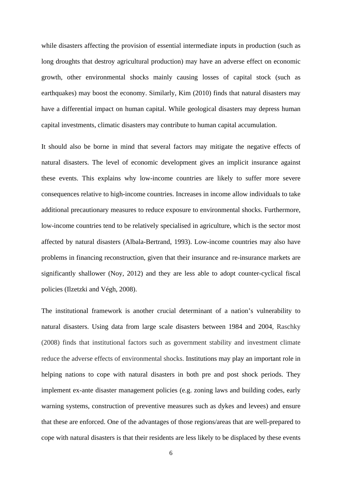while disasters affecting the provision of essential intermediate inputs in production (such as long droughts that destroy agricultural production) may have an adverse effect on economic growth, other environmental shocks mainly causing losses of capital stock (such as earthquakes) may boost the economy. Similarly, Kim (2010) finds that natural disasters may have a differential impact on human capital. While geological disasters may depress human capital investments, climatic disasters may contribute to human capital accumulation.

It should also be borne in mind that several factors may mitigate the negative effects of natural disasters. The level of economic development gives an implicit insurance against these events. This explains why low-income countries are likely to suffer more severe consequences relative to high-income countries. Increases in income allow individuals to take additional precautionary measures to reduce exposure to environmental shocks. Furthermore, low-income countries tend to be relatively specialised in agriculture, which is the sector most affected by natural disasters (Albala-Bertrand, 1993). Low-income countries may also have problems in financing reconstruction, given that their insurance and re-insurance markets are significantly shallower (Noy, 2012) and they are less able to adopt counter-cyclical fiscal policies (Ilzetzki and Végh, 2008).

The institutional framework is another crucial determinant of a nation's vulnerability to natural disasters. Using data from large scale disasters between 1984 and 2004, Raschky (2008) finds that institutional factors such as government stability and investment climate reduce the adverse effects of environmental shocks. Institutions may play an important role in helping nations to cope with natural disasters in both pre and post shock periods. They implement ex-ante disaster management policies (e.g. zoning laws and building codes, early warning systems, construction of preventive measures such as dykes and levees) and ensure that these are enforced. One of the advantages of those regions/areas that are well-prepared to cope with natural disasters is that their residents are less likely to be displaced by these events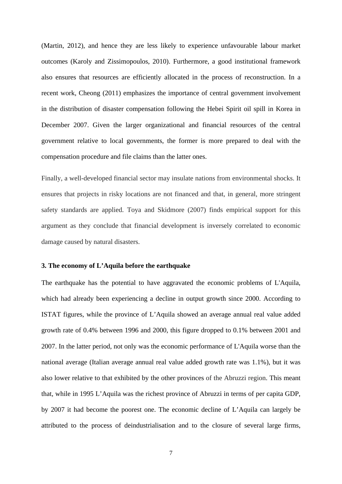(Martin, 2012), and hence they are less likely to experience unfavourable labour market outcomes ([Karoly](http://130.154.3.8/pubs/authors/k/karoly_lynn_a.html) and [Zissimopoulos,](http://130.154.3.8/pubs/authors/z/zissimopoulos_julie.html) 2010). Furthermore, a good institutional framework also ensures that resources are efficiently allocated in the process of reconstruction. In a recent work, Cheong (2011) emphasizes the importance of central government involvement in the distribution of disaster compensation following the Hebei Spirit oil spill in Korea in December 2007. Given the larger organizational and financial resources of the central government relative to local governments, the former is more prepared to deal with the compensation procedure and file claims than the latter ones.

Finally, a well-developed financial sector may insulate nations from environmental shocks. It ensures that projects in risky locations are not financed and that, in general, more stringent safety standards are applied. Toya and Skidmore (2007) finds empirical support for this argument as they conclude that financial development is inversely correlated to economic damage caused by natural disasters.

#### **3. The economy of L'Aquila before the earthquake**

The earthquake has the potential to have aggravated the economic problems of L'Aquila, which had already been experiencing a decline in output growth since 2000. According to ISTAT figures, while the province of L'Aquila showed an average annual real value added growth rate of 0.4% between 1996 and 2000, this figure dropped to 0.1% between 2001 and 2007. In the latter period, not only was the economic performance of L'Aquila worse than the national average (Italian average annual real value added growth rate was 1.1%), but it was also lower relative to that exhibited by the other provinces of the Abruzzi region. This meant that, while in 1995 L'Aquila was the richest province of Abruzzi in terms of per capita GDP, by 2007 it had become the poorest one. The economic decline of L'Aquila can largely be attributed to the process of deindustrialisation and to the closure of several large firms,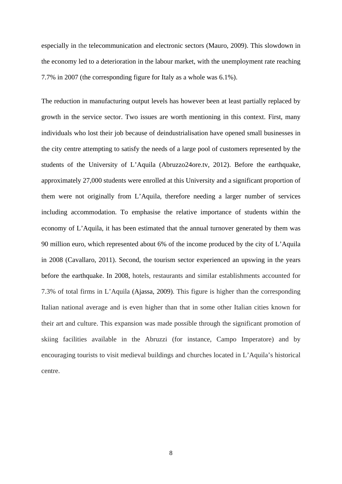especially in the telecommunication and electronic sectors (Mauro, 2009). This slowdown in the economy led to a deterioration in the labour market, with the unemployment rate reaching 7.7% in 2007 (the corresponding figure for Italy as a whole was 6.1%).

The reduction in manufacturing output levels has however been at least partially replaced by growth in the service sector. Two issues are worth mentioning in this context. First, many individuals who lost their job because of deindustrialisation have opened small businesses in the city centre attempting to satisfy the needs of a large pool of customers represented by the students of the University of L'Aquila (Abruzzo24ore.tv, 2012). Before the earthquake, approximately 27,000 students were enrolled at this University and a significant proportion of them were not originally from L'Aquila, therefore needing a larger number of services including accommodation. To emphasise the relative importance of students within the economy of L'Aquila, it has been estimated that the annual turnover generated by them was 90 million euro, which represented about 6% of the income produced by the city of L'Aquila in 2008 (Cavallaro, 2011). Second, the tourism sector experienced an upswing in the years before the earthquake. In 2008, hotels, restaurants and similar establishments accounted for 7.3% of total firms in L'Aquila (Ajassa, 2009). This figure is higher than the corresponding Italian national average and is even higher than that in some other Italian cities known for their art and culture. This expansion was made possible through the significant promotion of skiing facilities available in the Abruzzi (for instance, Campo Imperatore) and by encouraging tourists to visit medieval buildings and churches located in L'Aquila's historical centre.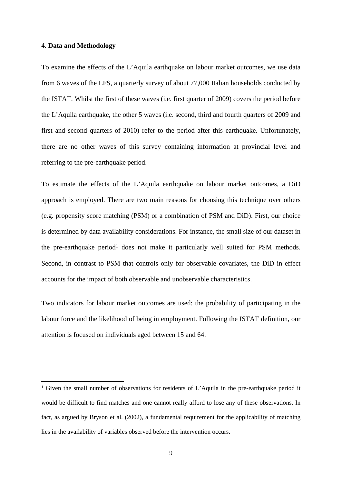#### **4. Data and Methodology**

To examine the effects of the L'Aquila earthquake on labour market outcomes, we use data from 6 waves of the LFS, a quarterly survey of about 77,000 Italian households conducted by the ISTAT. Whilst the first of these waves (i.e. first quarter of 2009) covers the period before the L'Aquila earthquake, the other 5 waves (i.e. second, third and fourth quarters of 2009 and first and second quarters of 2010) refer to the period after this earthquake. Unfortunately, there are no other waves of this survey containing information at provincial level and referring to the pre-earthquake period.

To estimate the effects of the L'Aquila earthquake on labour market outcomes, a DiD approach is employed. There are two main reasons for choosing this technique over others (e.g. propensity score matching (PSM) or a combination of PSM and DiD). First, our choice is determined by data availability considerations. For instance, the small size of our dataset in the pre-earthquake period<sup>1</sup> does not make it particularly well suited for PSM methods. Second, in contrast to PSM that controls only for observable covariates, the DiD in effect accounts for the impact of both observable and unobservable characteristics.

Two indicators for labour market outcomes are used: the probability of participating in the labour force and the likelihood of being in employment. Following the ISTAT definition, our attention is focused on individuals aged between 15 and 64.

<sup>&</sup>lt;sup>1</sup> Given the small number of observations for residents of L'Aquila in the pre-earthquake period it would be difficult to find matches and one cannot really afford to lose any of these observations. In fact, as argued by Bryson et al. (2002), a fundamental requirement for the applicability of matching lies in the availability of variables observed before the intervention occurs.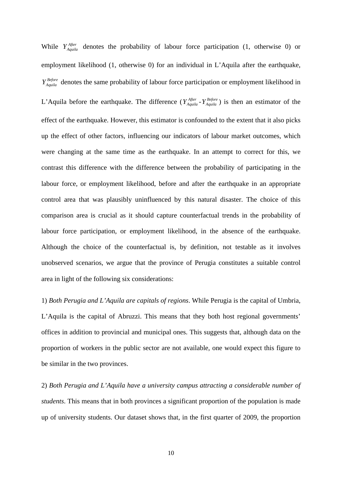While  $Y_{Aquila}^{After}$  denotes the probability of labour force participation (1, otherwise 0) or employment likelihood (1, otherwise 0) for an individual in L'Aquila after the earthquake, denotes the same probability of labour force participation or employment likelihood in *Before YAquila* L'Aquila before the earthquake. The difference  $(Y_{Aquila}^{After} - Y_{Aquila}^{Before})$  is then an estimator of the effect of the earthquake. However, this estimator is confounded to the extent that it also picks up the effect of other factors, influencing our indicators of labour market outcomes, which were changing at the same time as the earthquake. In an attempt to correct for this, we contrast this difference with the difference between the probability of participating in the labour force, or employment likelihood, before and after the earthquake in an appropriate control area that was plausibly uninfluenced by this natural disaster. The choice of this comparison area is crucial as it should capture counterfactual trends in the probability of labour force participation, or employment likelihood, in the absence of the earthquake. Although the choice of the counterfactual is, by definition, not testable as it involves unobserved scenarios, we argue that the province of Perugia constitutes a suitable control area in light of the following six considerations:

1) *Both Perugia and L'Aquila are capitals of regions*. While Perugia is the capital of Umbria, L'Aquila is the capital of Abruzzi. This means that they both host regional governments' offices in addition to provincial and municipal ones. This suggests that, although data on the proportion of workers in the public sector are not available, one would expect this figure to be similar in the two provinces.

2) *Both Perugia and L'Aquila have a university campus attracting a considerable number of students*. This means that in both provinces a significant proportion of the population is made up of university students. Our dataset shows that, in the first quarter of 2009, the proportion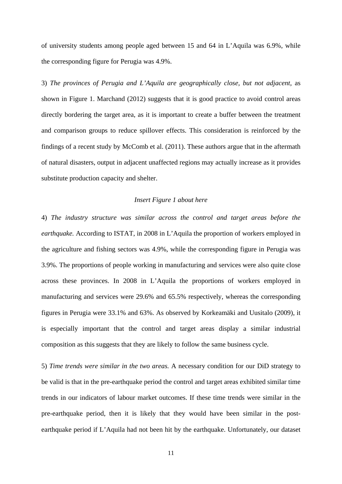of university students among people aged between 15 and 64 in L'Aquila was 6.9%, while the corresponding figure for Perugia was 4.9%.

3) *The provinces of Perugia and L'Aquila are geographically close, but not adjacent*, as shown in Figure 1. Marchand (2012) suggests that it is good practice to avoid control areas directly bordering the target area, as it is important to create a buffer between the treatment and comparison groups to reduce spillover effects. This consideration is reinforced by the findings of a recent study by McComb et al. (2011). These authors argue that in the aftermath of natural disasters, output in adjacent unaffected regions may actually increase as it provides substitute production capacity and shelter.

#### *Insert Figure 1 about here*

4) *The industry structure was similar across the control and target areas before the earthquake.* According to ISTAT, in 2008 in L'Aquila the proportion of workers employed in the agriculture and fishing sectors was 4.9%, while the corresponding figure in Perugia was 3.9%. The proportions of people working in manufacturing and services were also quite close across these provinces. In 2008 in L'Aquila the proportions of workers employed in manufacturing and services were 29.6% and 65.5% respectively, whereas the corresponding figures in Perugia were 33.1% and 63%. As observed by Korkeamäki and Uusitalo (2009), it is especially important that the control and target areas display a similar industrial composition as this suggests that they are likely to follow the same business cycle.

5) *Time trends were similar in the two areas.* A necessary condition for our DiD strategy to be valid is that in the pre-earthquake period the control and target areas exhibited similar time trends in our indicators of labour market outcomes. If these time trends were similar in the pre-earthquake period, then it is likely that they would have been similar in the postearthquake period if L'Aquila had not been hit by the earthquake. Unfortunately, our dataset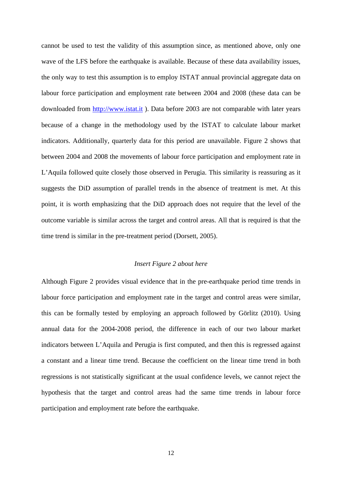cannot be used to test the validity of this assumption since, as mentioned above, only one wave of the LFS before the earthquake is available. Because of these data availability issues, the only way to test this assumption is to employ ISTAT annual provincial aggregate data on labour force participation and employment rate between 2004 and 2008 (these data can be downloaded from <http://www.istat.it> ). Data before 2003 are not comparable with later years because of a change in the methodology used by the ISTAT to calculate labour market indicators. Additionally, quarterly data for this period are unavailable. Figure 2 shows that between 2004 and 2008 the movements of labour force participation and employment rate in L'Aquila followed quite closely those observed in Perugia. This similarity is reassuring as it suggests the DiD assumption of parallel trends in the absence of treatment is met. At this point, it is worth emphasizing that the DiD approach does not require that the level of the outcome variable is similar across the target and control areas. All that is required is that the time trend is similar in the pre-treatment period (Dorsett, 2005).

#### *Insert Figure 2 about here*

Although Figure 2 provides visual evidence that in the pre-earthquake period time trends in labour force participation and employment rate in the target and control areas were similar, this can be formally tested by employing an approach followed by Görlitz (2010). Using annual data for the 2004-2008 period, the difference in each of our two labour market indicators between L'Aquila and Perugia is first computed, and then this is regressed against a constant and a linear time trend. Because the coefficient on the linear time trend in both regressions is not statistically significant at the usual confidence levels, we cannot reject the hypothesis that the target and control areas had the same time trends in labour force participation and employment rate before the earthquake.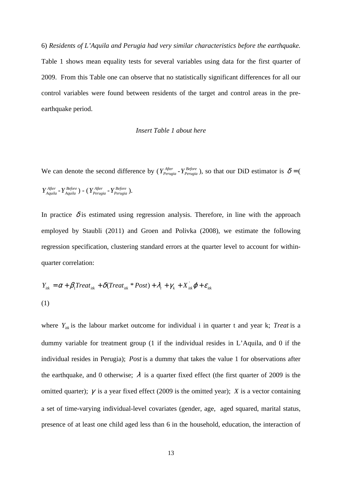6) *Residents of L'Aquila and Perugia had very similar characteristics before the earthquake.* Table 1 shows mean equality tests for several variables using data for the first quarter of 2009. From this Table one can observe that no statistically significant differences for all our control variables were found between residents of the target and control areas in the preearthquake period.

#### *Insert Table 1 about here*

We can denote the second difference by  $(Y_{Perugia}^{After} - Y_{Perugia}^{Before})$ , so that our DiD estimator is  $\delta = ($  $Y_{Aquila}^{After} - Y_{Aquila}^{Before}$   $) - (Y_{Perugia}^{After} - Y_{Perugia}^{Before})$ .

In practice  $\delta$  is estimated using regression analysis. Therefore, in line with the approach employed by Staubli (2011) and Groen and Polivka (2008), we estimate the following regression specification, clustering standard errors at the quarter level to account for withinquarter correlation:

$$
Y_{ik} = \alpha + \beta_1 Treat_{ik} + \delta (Treat_{ik} * Post) + \lambda_t + \gamma_k + X_{ik} \varphi + \varepsilon_{ik}
$$
  
(1)

where  $Y_{ik}$  is the labour market outcome for individual i in quarter t and year k; Treat is a dummy variable for treatment group (1 if the individual resides in L'Aquila, and 0 if the individual resides in Perugia); *Post* is a dummy that takes the value 1 for observations after the earthquake, and 0 otherwise;  $\lambda$  is a quarter fixed effect (the first quarter of 2009 is the omitted quarter);  $\gamma$  is a year fixed effect (2009 is the omitted year); *X* is a vector containing a set of time-varying individual-level covariates (gender, age, aged squared, marital status, presence of at least one child aged less than 6 in the household, education, the interaction of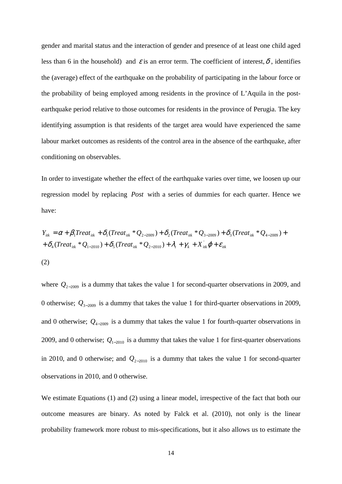gender and marital status and the interaction of gender and presence of at least one child aged less than 6 in the household) and  $\varepsilon$  is an error term. The coefficient of interest,  $\delta$ , identifies the (average) effect of the earthquake on the probability of participating in the labour force or the probability of being employed among residents in the province of L'Aquila in the postearthquake period relative to those outcomes for residents in the province of Perugia. The key identifying assumption is that residents of the target area would have experienced the same labour market outcomes as residents of the control area in the absence of the earthquake, after conditioning on observables.

In order to investigate whether the effect of the earthquake varies over time, we loosen up our regression model by replacing *Post* with a series of dummies for each quarter. Hence we have:

$$
Y_{ik} = \alpha + \beta_1 Treat_{ik} + \delta_1 (Treat_{ik} * Q_{2-2009}) + \delta_2 (Treat_{ik} * Q_{3-2009}) + \delta_3 (Treat_{ik} * Q_{4-2009}) + + \delta_4 (Treat_{ik} * Q_{1-2010}) + \delta_5 (Treat_{ik} * Q_{2-2010}) + \lambda_t + \gamma_k + X_{ik}^{\dagger} \varphi + \varepsilon_{ik}
$$
\n(2)

where *Q*<sup>2</sup>−<sup>2009</sup> is a dummy that takes the value 1 for second-quarter observations in 2009, and 0 otherwise;  $Q_{3-2009}$  is a dummy that takes the value 1 for third-quarter observations in 2009, and 0 otherwise;  $Q_{4-2009}$  is a dummy that takes the value 1 for fourth-quarter observations in 2009, and 0 otherwise;  $Q_{1-2010}$  is a dummy that takes the value 1 for first-quarter observations in 2010, and 0 otherwise; and  $Q_{2-2010}$  is a dummy that takes the value 1 for second-quarter observations in 2010, and 0 otherwise.

We estimate Equations (1) and (2) using a linear model, irrespective of the fact that both our outcome measures are binary. As noted by Falck et al. (2010), not only is the linear probability framework more robust to mis-specifications, but it also allows us to estimate the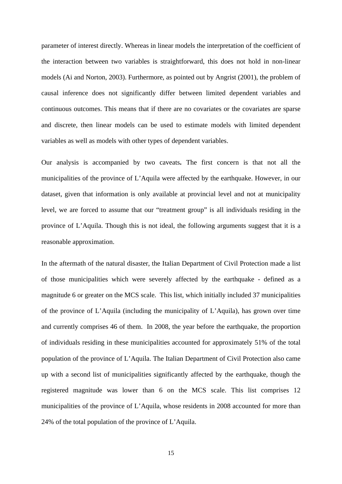parameter of interest directly. Whereas in linear models the interpretation of the coefficient of the interaction between two variables is straightforward, this does not hold in non-linear models (Ai and Norton, 2003). Furthermore, as pointed out by Angrist (2001), the problem of causal inference does not significantly differ between limited dependent variables and continuous outcomes. This means that if there are no covariates or the covariates are sparse and discrete, then linear models can be used to estimate models with limited dependent variables as well as models with other types of dependent variables.

Our analysis is accompanied by two caveats**.** The first concern is that not all the municipalities of the province of L'Aquila were affected by the earthquake. However, in our dataset, given that information is only available at provincial level and not at municipality level, we are forced to assume that our "treatment group" is all individuals residing in the province of L'Aquila. Though this is not ideal, the following arguments suggest that it is a reasonable approximation.

In the aftermath of the natural disaster, the Italian Department of Civil Protection made a list of those municipalities which were severely affected by the earthquake - defined as a magnitude 6 or greater on the MCS scale. This list, which initially included 37 municipalities of the province of L'Aquila (including the municipality of L'Aquila), has grown over time and currently comprises 46 of them. In 2008, the year before the earthquake, the proportion of individuals residing in these municipalities accounted for approximately 51% of the total population of the province of L'Aquila. The Italian Department of Civil Protection also came up with a second list of municipalities significantly affected by the earthquake, though the registered magnitude was lower than 6 on the MCS scale. This list comprises 12 municipalities of the province of L'Aquila, whose residents in 2008 accounted for more than 24% of the total population of the province of L'Aquila.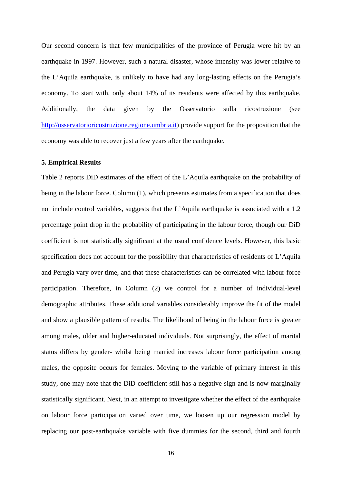Our second concern is that few municipalities of the province of Perugia were hit by an earthquake in 1997. However, such a natural disaster, whose intensity was lower relative to the L'Aquila earthquake, is unlikely to have had any long-lasting effects on the Perugia's economy. To start with, only about 14% of its residents were affected by this earthquake. Additionally, the data given by the Osservatorio sulla ricostruzione (see [http://osservatorioricostruzione.regione.umbria.it\)](http://osservatorioricostruzione.regione.umbria.it) provide support for the proposition that the economy was able to recover just a few years after the earthquake.

#### **5. Empirical Results**

Table 2 reports DiD estimates of the effect of the L'Aquila earthquake on the probability of being in the labour force. Column (1), which presents estimates from a specification that does not include control variables, suggests that the L'Aquila earthquake is associated with a 1.2 percentage point drop in the probability of participating in the labour force, though our DiD coefficient is not statistically significant at the usual confidence levels. However, this basic specification does not account for the possibility that characteristics of residents of L'Aquila and Perugia vary over time, and that these characteristics can be correlated with labour force participation. Therefore, in Column (2) we control for a number of individual-level demographic attributes. These additional variables considerably improve the fit of the model and show a plausible pattern of results. The likelihood of being in the labour force is greater among males, older and higher-educated individuals. Not surprisingly, the effect of marital status differs by gender- whilst being married increases labour force participation among males, the opposite occurs for females. Moving to the variable of primary interest in this study, one may note that the DiD coefficient still has a negative sign and is now marginally statistically significant. Next, in an attempt to investigate whether the effect of the earthquake on labour force participation varied over time, we loosen up our regression model by replacing our post-earthquake variable with five dummies for the second, third and fourth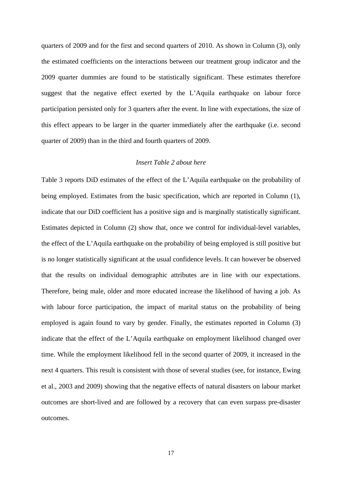quarters of 2009 and for the first and second quarters of 2010. As shown in Column (3), only the estimated coefficients on the interactions between our treatment group indicator and the 2009 quarter dummies are found to be statistically significant. These estimates therefore suggest that the negative effect exerted by the L'Aquila earthquake on labour force participation persisted only for 3 quarters after the event. In line with expectations, the size of this effect appears to be larger in the quarter immediately after the earthquake (i.e. second quarter of 2009) than in the third and fourth quarters of 2009.

#### *Insert Table 2 about here*

Table 3 reports DiD estimates of the effect of the L'Aquila earthquake on the probability of being employed. Estimates from the basic specification, which are reported in Column (1), indicate that our DiD coefficient has a positive sign and is marginally statistically significant. Estimates depicted in Column (2) show that, once we control for individual-level variables, the effect of the L'Aquila earthquake on the probability of being employed is still positive but is no longer statistically significant at the usual confidence levels. It can however be observed that the results on individual demographic attributes are in line with our expectations. Therefore, being male, older and more educated increase the likelihood of having a job. As with labour force participation, the impact of marital status on the probability of being employed is again found to vary by gender. Finally, the estimates reported in Column (3) indicate that the effect of the L'Aquila earthquake on employment likelihood changed over time. While the employment likelihood fell in the second quarter of 2009, it increased in the next 4 quarters. This result is consistent with those of several studies (see, for instance, Ewing et al., 2003 and 2009) showing that the negative effects of natural disasters on labour market outcomes are short-lived and are followed by a recovery that can even surpass pre-disaster outcomes.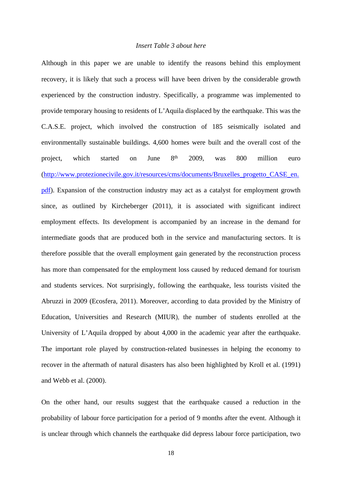#### *Insert Table 3 about here*

Although in this paper we are unable to identify the reasons behind this employment recovery, it is likely that such a process will have been driven by the considerable growth experienced by the construction industry. Specifically, a programme was implemented to provide temporary housing to residents of L'Aquila displaced by the earthquake. This was the C.A.S.E. project, which involved the construction of 185 seismically isolated and environmentally sustainable buildings. 4,600 homes were built and the overall cost of the project, which started on June 8<sup>th</sup> th 2009, was 800 million euro ([http://www.protezionecivile.gov.it/resources/cms/documents/Bruxelles\\_progetto\\_CASE\\_en.](http://www.protezionecivile.gov.it/resources/cms/documents/Bruxelles_progetto_CASE_en.pdf) [pdf\)](http://www.protezionecivile.gov.it/resources/cms/documents/Bruxelles_progetto_CASE_en.pdf). Expansion of the construction industry may act as a catalyst for employment growth since, as outlined by Kircheberger (2011), it is associated with significant indirect employment effects. Its development is accompanied by an increase in the demand for intermediate goods that are produced both in the service and manufacturing sectors. It is therefore possible that the overall employment gain generated by the reconstruction process has more than compensated for the employment loss caused by reduced demand for tourism and students services. Not surprisingly, following the earthquake, less tourists visited the Abruzzi in 2009 (Ecosfera, 2011). Moreover, according to data provided by the Ministry of Education, Universities and Research (MIUR), the number of students enrolled at the University of L'Aquila dropped by about 4,000 in the academic year after the earthquake. The important role played by construction-related businesses in helping the economy to recover in the aftermath of natural disasters has also been highlighted by Kroll et al. (1991) and Webb et al. (2000).

On the other hand, our results suggest that the earthquake caused a reduction in the probability of labour force participation for a period of 9 months after the event. Although it is unclear through which channels the earthquake did depress labour force participation, two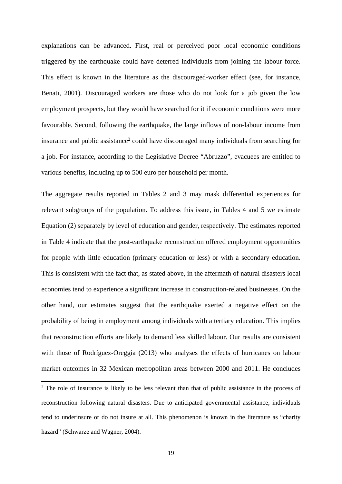explanations can be advanced. First, real or perceived poor local economic conditions triggered by the earthquake could have deterred individuals from joining the labour force. This effect is known in the literature as the discouraged-worker effect (see, for instance, Benati, 2001). Discouraged workers are those who do not look for a job given the low employment prospects, but they would have searched for it if economic conditions were more favourable. Second, following the earthquake, the large inflows of non-labour income from insurance and public assistance<sup>2</sup> could have discouraged many individuals from searching for a job. For instance, according to the Legislative Decree "Abruzzo", evacuees are entitled to various benefits, including up to 500 euro per household per month.

The aggregate results reported in Tables 2 and 3 may mask differential experiences for relevant subgroups of the population. To address this issue, in Tables 4 and 5 we estimate Equation (2) separately by level of education and gender, respectively. The estimates reported in Table 4 indicate that the post-earthquake reconstruction offered employment opportunities for people with little education (primary education or less) or with a secondary education. This is consistent with the fact that, as stated above, in the aftermath of natural disasters local economies tend to experience a significant increase in construction-related businesses. On the other hand, our estimates suggest that the earthquake exerted a negative effect on the probability of being in employment among individuals with a tertiary education. This implies that reconstruction efforts are likely to demand less skilled labour. Our results are consistent with those of Rodríguez-Oreggia (2013) who analyses the effects of hurricanes on labour market outcomes in 32 Mexican metropolitan areas between 2000 and 2011. He concludes

<sup>&</sup>lt;sup>2</sup> The role of insurance is likely to be less relevant than that of public assistance in the process of reconstruction following natural disasters. Due to anticipated governmental assistance, individuals tend to underinsure or do not insure at all. This phenomenon is known in the literature as "charity hazard" (Schwarze and Wagner, 2004).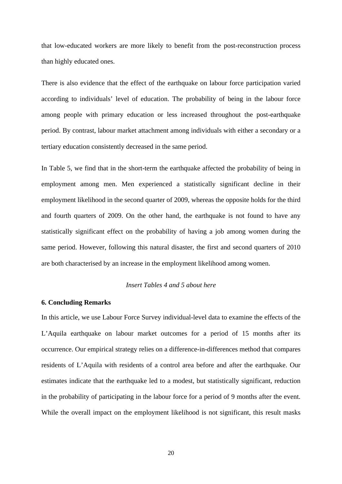that low-educated workers are more likely to benefit from the post-reconstruction process than highly educated ones.

There is also evidence that the effect of the earthquake on labour force participation varied according to individuals' level of education. The probability of being in the labour force among people with primary education or less increased throughout the post-earthquake period. By contrast, labour market attachment among individuals with either a secondary or a tertiary education consistently decreased in the same period.

In Table 5, we find that in the short-term the earthquake affected the probability of being in employment among men. Men experienced a statistically significant decline in their employment likelihood in the second quarter of 2009, whereas the opposite holds for the third and fourth quarters of 2009. On the other hand, the earthquake is not found to have any statistically significant effect on the probability of having a job among women during the same period. However, following this natural disaster, the first and second quarters of 2010 are both characterised by an increase in the employment likelihood among women.

#### *Insert Tables 4 and 5 about here*

#### **6. Concluding Remarks**

In this article, we use Labour Force Survey individual-level data to examine the effects of the L'Aquila earthquake on labour market outcomes for a period of 15 months after its occurrence. Our empirical strategy relies on a difference-in-differences method that compares residents of L'Aquila with residents of a control area before and after the earthquake. Our estimates indicate that the earthquake led to a modest, but statistically significant, reduction in the probability of participating in the labour force for a period of 9 months after the event. While the overall impact on the employment likelihood is not significant, this result masks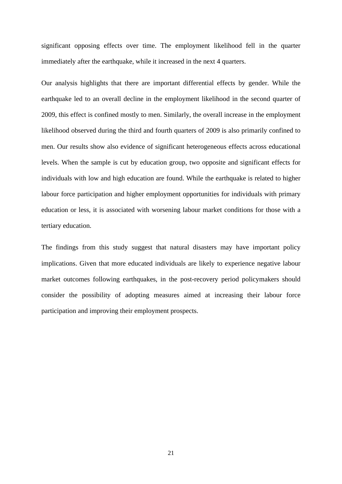significant opposing effects over time. The employment likelihood fell in the quarter immediately after the earthquake, while it increased in the next 4 quarters.

Our analysis highlights that there are important differential effects by gender. While the earthquake led to an overall decline in the employment likelihood in the second quarter of 2009, this effect is confined mostly to men. Similarly, the overall increase in the employment likelihood observed during the third and fourth quarters of 2009 is also primarily confined to men. Our results show also evidence of significant heterogeneous effects across educational levels. When the sample is cut by education group, two opposite and significant effects for individuals with low and high education are found. While the earthquake is related to higher labour force participation and higher employment opportunities for individuals with primary education or less, it is associated with worsening labour market conditions for those with a tertiary education.

The findings from this study suggest that natural disasters may have important policy implications. Given that more educated individuals are likely to experience negative labour market outcomes following earthquakes, in the post-recovery period policymakers should consider the possibility of adopting measures aimed at increasing their labour force participation and improving their employment prospects.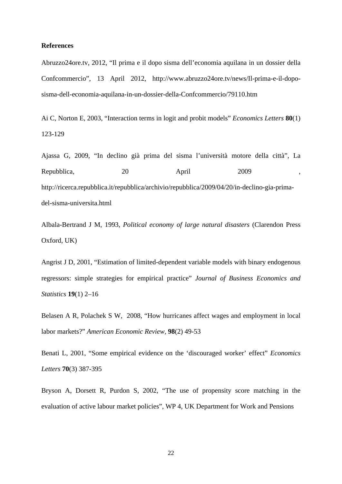#### **References**

Abruzzo24ore.tv, 2012, "Il prima e il dopo sisma dell'economia aquilana in un dossier della Confcommercio", 13 April 2012, http://www.abruzzo24ore.tv/news/Il-prima-e-il-doposisma-dell-economia-aquilana-in-un-dossier-della-Confcommercio/79110.htm

Ai C, Norton E, 2003, "Interaction terms in logit and probit models" *Economics Letters* **80**(1) 123-129

Ajassa G, 2009, "In declino già prima del sisma l'università motore della città", La Repubblica, 20 April 2009, http://ricerca.repubblica.it/repubblica/archivio/repubblica/2009/04/20/in-declino-gia-primadel-sisma-universita.html

Albala-Bertrand J M, 1993, *Political economy of large natural disasters* (Clarendon Press Oxford, UK)

Angrist J D, 2001, "Estimation of limited-dependent variable models with binary endogenous regressors: simple strategies for empirical practice" *Journal of Business Economics and Statistics* **19**(1) 2–16

Belasen A R, Polachek S W, 2008, "How hurricanes affect wages and employment in local labor markets?" *American Economic Review*, **98**(2) 49-53

Benati L, 2001, "Some empirical evidence on the 'discouraged worker' effect" *Economics Letters* **70**(3) 387-395

Bryson A, Dorsett R, Purdon S, 2002, "The use of propensity score matching in the evaluation of active labour market policies", WP 4, UK Department for Work and Pensions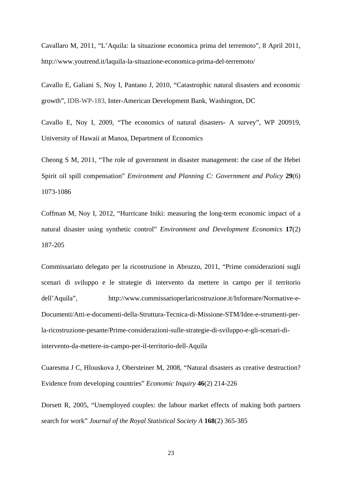Cavallaro M, 2011, "L'Aquila: la situazione economica prima del terremoto", 8 April 2011, http://www.youtrend.it/laquila-la-situazione-economica-prima-del-terremoto/

Cavallo E, Galiani S, Noy I, Pantano J, 2010, "Catastrophic natural disasters and economic growth", IDB-WP-183, Inter-American Development Bank, Washington, DC

Cavallo E, Noy I, 2009, "The economics of natural disasters- A survey", WP 200919, University of Hawaii at Manoa, Department of Economics

Cheong S M, 2011, "The role of government in disaster management: the case of the Hebei Spirit oil spill compensation" *Environment and Planning C: Government and Policy* **29**(6) 1073-1086

Coffman M, Noy I, 2012, "Hurricane Iniki: measuring the long-term economic impact of a natural disaster using synthetic control" *Environment and Development Economics* **17**(2) 187-205

Commissariato delegato per la ricostruzione in Abruzzo, 2011, "Prime considerazioni sugli scenari di sviluppo e le strategie di intervento da mettere in campo per il territorio dell'Aquila", http://www.commissarioperlaricostruzione.it/Informare/Normative-e-Documenti/Atti-e-documenti-della-Struttura-Tecnica-di-Missione-STM/Idee-e-strumenti-perla-ricostruzione-pesante/Prime-considerazioni-sulle-strategie-di-sviluppo-e-gli-scenari-diintervento-da-mettere-in-campo-per-il-territorio-dell-Aquila

Cuaresma J C, Hlouskova J, Obersteiner M, 2008, "Natural disasters as creative destruction? Evidence from developing countries" *Economic Inquiry* **46**(2) 214-226

Dorsett R, 2005, "Unemployed couples: the labour market effects of making both partners search for work" *Journal of the Royal Statistical Society A* **168**(2) 365-385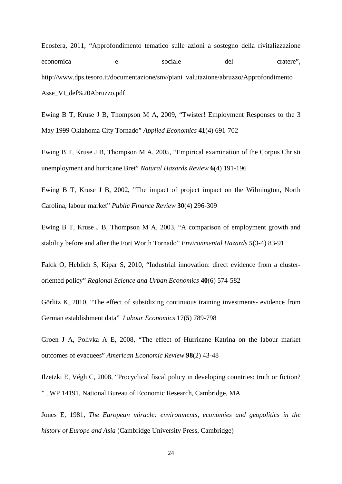Ecosfera, 2011, "Approfondimento tematico sulle azioni a sostegno della rivitalizzazione economica e sociale del cratere", http://www.dps.tesoro.it/documentazione/snv/piani\_valutazione/abruzzo/Approfondimento\_ Asse\_VI\_def%20Abruzzo.pdf

Ewing B T, Kruse J B, Thompson M A, 2009, "Twister! Employment Responses to the 3 May 1999 Oklahoma City Tornado" *Applied Economics* **41**(4) 691-702

Ewing B T, Kruse J B, Thompson M A, 2005, "Empirical examination of the Corpus Christi unemployment and hurricane Bret" *Natural Hazards Review* **6**(4) 191-196

Ewing B T, Kruse J B, 2002, "The impact of project impact on the Wilmington, North Carolina, labour market" *Public Finance Review* **30**(4) 296-309

Ewing B T, Kruse J B, Thompson M A, 2003, "A comparison of employment growth and stability before and after the Fort Worth Tornado" *Environmental Hazards* **5**(3-4) 83-91

Falck O, Heblich S, Kipar S, 2010, "Industrial innovation: direct evidence from a clusteroriented policy" *Regional Science and Urban Economics* **40**(6) 574-582

Görlitz K, 2010, "The effect of subsidizing continuous training investments- evidence from German establishment data" *Labour Economics* 17(**5**) 789-798

Groen J A, Polivka A E, 2008, "The effect of Hurricane Katrina on the labour market outcomes of evacuees" *American Economic Review* **98**(2) 43-48

Ilzetzki E, Végh C, 2008, "Procyclical fiscal policy in developing countries: truth or fiction? " , WP 14191, National Bureau of Economic Research, Cambridge, MA

Jones E, 1981, *The European miracle: environments, economies and geopolitics in the history of Europe and Asia* (Cambridge University Press, Cambridge)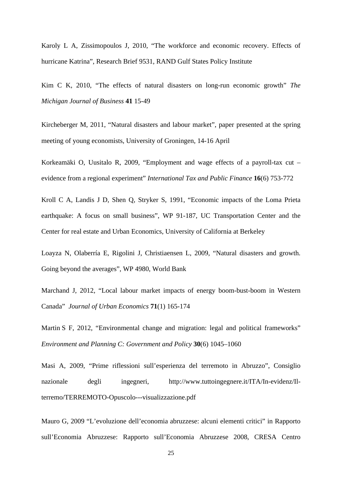[Karoly](http://130.154.3.8/pubs/authors/k/karoly_lynn_a.html) L A, [Zissimopoulos](http://130.154.3.8/pubs/authors/z/zissimopoulos_julie.html) J, 2010, "The workforce and economic recovery. Effects of hurricane Katrina", Research Brief 9531, RAND Gulf States Policy Institute

Kim C K, 2010, "The effects of natural disasters on long-run economic growth" *The Michigan Journal of Business* **41** 15-49

Kircheberger M, 2011, "Natural disasters and labour market", paper presented at the spring meeting of young economists, University of Groningen, 14-16 April

Korkeamäki O, Uusitalo R, 2009, "Employment and wage effects of a payroll-tax cut – evidence from a regional experiment" *International Tax and Public Finance* **16**(6) 753-772

Kroll C A, Landis J D, Shen Q, Stryker S, 1991, "Economic impacts of the Loma Prieta earthquake: A focus on small business", WP 91-187, UC Transportation Center and the Center for real estate and Urban Economics, University of California at Berkeley

Loayza N, Olaberría E, Rigolini J, Christiaensen L, 2009, "Natural disasters and growth. Going beyond the averages", WP 4980, World Bank

Marchand J, 2012, "Local labour market impacts of energy boom-bust-boom in Western Canada" *Journal of Urban Economics* **71**(1) 165-174

Martin S F, 2012, "Environmental change and migration: legal and political frameworks" *Environment and Planning C: Government and Policy* **30**(6) 1045–1060

Masi A, 2009, "Prime riflessioni sull'esperienza del terremoto in Abruzzo", Consiglio nazionale degli ingegneri, http://www.tuttoingegnere.it/ITA/In-evidenz/Ilterremo/TERREMOTO-Opuscolo---visualizzazione.pdf

Mauro G, 2009 "L'evoluzione dell'economia abruzzese: alcuni elementi critici" in Rapporto sull'Economia Abruzzese: Rapporto sull'Economia Abruzzese 2008, CRESA Centro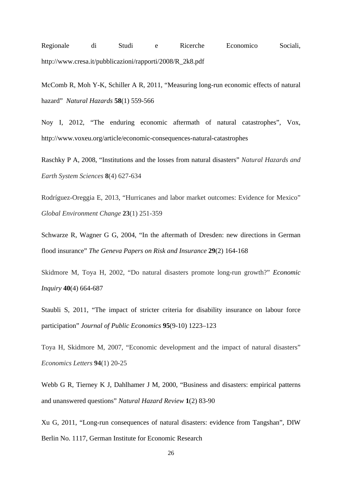Regionale di Studi e Ricerche Economico Sociali, http://www.cresa.it/pubblicazioni/rapporti/2008/R\_2k8.pdf

McComb R, Moh Y-K, Schiller A R, 2011, "Measuring long-run economic effects of natural hazard" *Natural Hazards* **58**(1) 559-566

Noy I, 2012, "The enduring economic aftermath of natural catastrophes", Vox, http://www.voxeu.org/article/economic-consequences-natural-catastrophes

Raschky P A, 2008, "Institutions and the losses from natural disasters" *Natural Hazards and Earth System Sciences* **8**(4) 627-634

Rodríguez-Oreggia E, 2013, "Hurricanes and labor market outcomes: Evidence for Mexico" *Global Environment Change* **23**(1) 251-359

Schwarze R, Wagner G G, 2004, "In the aftermath of Dresden: new directions in German flood insurance" *The Geneva Papers on Risk and Insurance* **29**(2) 164-168

Skidmore M, Toya H, 2002, "Do natural disasters promote long-run growth?" *Economic Inquiry* **40**(4) 664-687

Staubli S, 2011, "The impact of stricter criteria for disability insurance on labour force participation" *Journal of Public Economics* **95**(9-10) 1223–123

Toya H, Skidmore M, 2007, "Economic development and the impact of natural disasters" *Economics Letters* **94**(1) 20-25

Webb G R, Tierney K J, Dahlhamer J M, 2000, "Business and disasters: empirical patterns and unanswered questions" *Natural Hazard Review* **1**(2) 83-90

Xu G, 2011, "Long-run consequences of natural disasters: evidence from Tangshan", DIW Berlin No. 1117, German Institute for Economic Research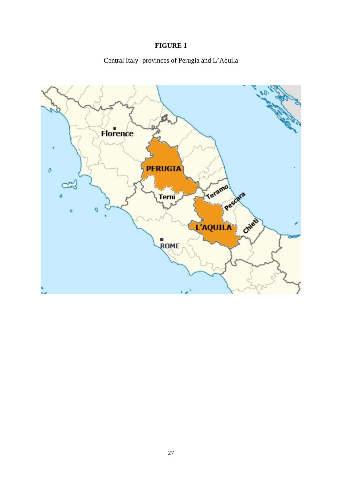# **FIGURE 1**

Central Italy -provinces of Perugia and L'Aquila

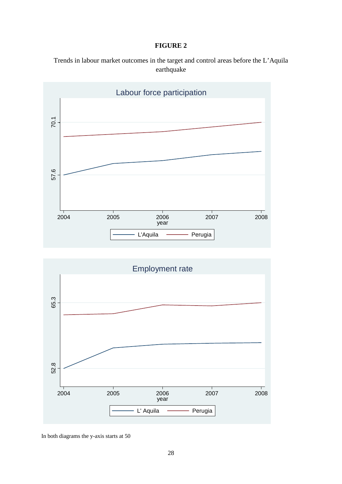#### **FIGURE 2**

Trends in labour market outcomes in the target and control areas before the L'Aquila earthquake





In both diagrams the y-axis starts at 50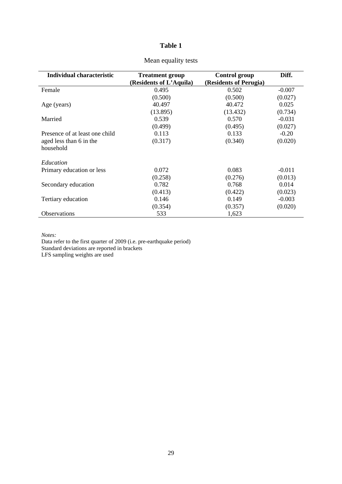| Individual characteristic      | <b>Treatment group</b>  | Control group          | Diff.    |
|--------------------------------|-------------------------|------------------------|----------|
|                                | (Residents of L'Aquila) | (Residents of Perugia) |          |
| Female                         | 0.495                   | 0.502                  | $-0.007$ |
|                                | (0.500)                 | (0.500)                | (0.027)  |
| Age (years)                    | 40.497                  | 40.472                 | 0.025    |
|                                | (13.895)                | (13.432)               | (0.734)  |
| Married                        | 0.539                   | 0.570                  | $-0.031$ |
|                                | (0.499)                 | (0.495)                | (0.027)  |
| Presence of at least one child | 0.113                   | 0.133                  | $-0.20$  |
| aged less than 6 in the        | (0.317)                 | (0.340)                | (0.020)  |
| household                      |                         |                        |          |
| Education                      |                         |                        |          |
| Primary education or less      | 0.072                   | 0.083                  | $-0.011$ |
|                                | (0.258)                 | (0.276)                | (0.013)  |
| Secondary education            | 0.782                   | 0.768                  | 0.014    |
|                                | (0.413)                 | (0.422)                | (0.023)  |
| Tertiary education             | 0.146                   | 0.149                  | $-0.003$ |
|                                | (0.354)                 | (0.357)                | (0.020)  |
| <b>Observations</b>            | 533                     | 1,623                  |          |

#### Mean equality tests

*Notes:*

Data refer to the first quarter of 2009 (i.e. pre-earthquake period) Standard deviations are reported in brackets LFS sampling weights are used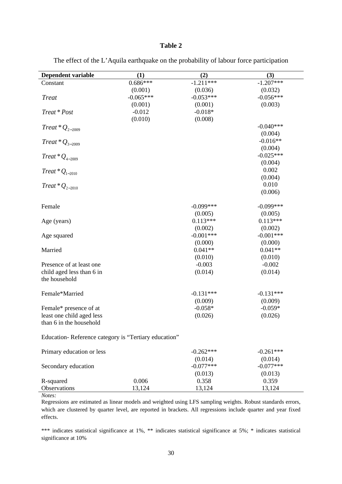| <b>Dependent variable</b>                            | (1)         | (2)         | (3)         |
|------------------------------------------------------|-------------|-------------|-------------|
| Constant                                             | $0.686***$  | $-1.211***$ | $-1.207***$ |
|                                                      | (0.001)     | (0.036)     | (0.032)     |
| <b>Treat</b>                                         | $-0.065***$ | $-0.053***$ | $-0.056***$ |
|                                                      | (0.001)     | (0.001)     | (0.003)     |
| Treat * Post                                         | $-0.012$    | $-0.018*$   |             |
|                                                      | (0.010)     | (0.008)     |             |
| Treat * $Q_{2-2009}$                                 |             |             | $-0.040***$ |
|                                                      |             |             | (0.004)     |
| $Treat * Q_{3-2009}$                                 |             |             | $-0.016**$  |
|                                                      |             |             | (0.004)     |
| $Treat * Q_{4-2009}$                                 |             |             | $-0.025***$ |
|                                                      |             |             | (0.004)     |
| Treat * $Q_{1-2010}$                                 |             |             | 0.002       |
|                                                      |             |             | (0.004)     |
| Treat * $Q_{2-2010}$                                 |             |             | 0.010       |
|                                                      |             |             | (0.006)     |
| Female                                               |             | $-0.099***$ | $-0.099***$ |
|                                                      |             | (0.005)     | (0.005)     |
| Age (years)                                          |             | $0.113***$  | $0.113***$  |
|                                                      |             | (0.002)     | (0.002)     |
| Age squared                                          |             | $-0.001***$ | $-0.001***$ |
|                                                      |             | (0.000)     | (0.000)     |
| Married                                              |             | $0.041**$   | $0.041**$   |
|                                                      |             | (0.010)     | (0.010)     |
| Presence of at least one                             |             | $-0.003$    | $-0.002$    |
| child aged less than 6 in                            |             | (0.014)     | (0.014)     |
| the household                                        |             |             |             |
| Female*Married                                       |             | $-0.131***$ | $-0.131***$ |
|                                                      |             | (0.009)     | (0.009)     |
| Female* presence of at                               |             | $-0.058*$   | $-0.059*$   |
| least one child aged less                            |             | (0.026)     | (0.026)     |
| than 6 in the household                              |             |             |             |
|                                                      |             |             |             |
| Education-Reference category is "Tertiary education" |             |             |             |
| Primary education or less                            |             | $-0.262***$ | $-0.261***$ |
|                                                      |             | (0.014)     | (0.014)     |
| Secondary education                                  |             | $-0.077***$ | $-0.077***$ |
|                                                      |             | (0.013)     | (0.013)     |
| R-squared                                            | 0.006       | 0.358       | 0.359       |
| Observations                                         | 13,124      | 13,124      | 13,124      |

The effect of the L'Aquila earthquake on the probability of labour force participation

*Notes:*

Regressions are estimated as linear models and weighted using LFS sampling weights. Robust standards errors, which are clustered by quarter level, are reported in brackets. All regressions include quarter and year fixed effects.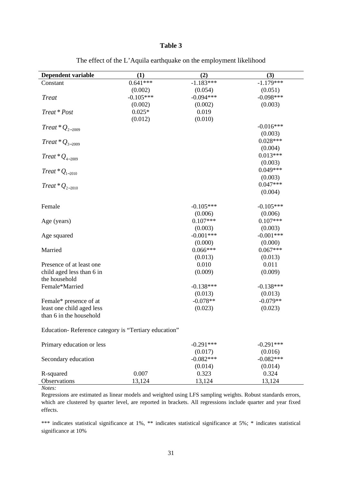| <b>Dependent variable</b>                            | (1)         | (2)         | (3)         |
|------------------------------------------------------|-------------|-------------|-------------|
| Constant                                             | $0.641***$  | $-1.183***$ | $-1.179***$ |
|                                                      | (0.002)     | (0.054)     | (0.051)     |
| <b>Treat</b>                                         | $-0.105***$ | $-0.094***$ | $-0.098***$ |
|                                                      | (0.002)     | (0.002)     | (0.003)     |
| Treat * Post                                         | $0.025*$    | 0.019       |             |
|                                                      | (0.012)     | (0.010)     |             |
| Treat * $Q_{2-2009}$                                 |             |             | $-0.016***$ |
|                                                      |             |             | (0.003)     |
| $Treat * Q_{3-2009}$                                 |             |             | $0.028***$  |
|                                                      |             |             | (0.004)     |
| Treat * $Q_{4-2009}$                                 |             |             | $0.013***$  |
|                                                      |             |             | (0.003)     |
| Treat * $Q_{1-2010}$                                 |             |             | $0.049***$  |
|                                                      |             |             | (0.003)     |
| $Treat * Q_{2-2010}$                                 |             |             | $0.047***$  |
|                                                      |             |             | (0.004)     |
|                                                      |             |             |             |
| Female                                               |             | $-0.105***$ | $-0.105***$ |
|                                                      |             | (0.006)     | (0.006)     |
| Age (years)                                          |             | $0.107***$  | $0.107***$  |
|                                                      |             | (0.003)     | (0.003)     |
| Age squared                                          |             | $-0.001***$ | $-0.001***$ |
|                                                      |             | (0.000)     | (0.000)     |
| Married                                              |             | $0.066***$  | $0.067***$  |
|                                                      |             | (0.013)     | (0.013)     |
| Presence of at least one                             |             | 0.010       | 0.011       |
| child aged less than 6 in                            |             | (0.009)     | (0.009)     |
| the household                                        |             |             |             |
| Female*Married                                       |             | $-0.138***$ | $-0.138***$ |
|                                                      |             | (0.013)     | (0.013)     |
| Female* presence of at                               |             | $-0.078**$  | $-0.079**$  |
| least one child aged less                            |             | (0.023)     | (0.023)     |
| than 6 in the household                              |             |             |             |
| Education-Reference category is "Tertiary education" |             |             |             |
| Primary education or less                            |             | $-0.291***$ | $-0.291***$ |
|                                                      |             | (0.017)     | (0.016)     |
| Secondary education                                  |             | $-0.082***$ | $-0.082***$ |
|                                                      |             | (0.014)     | (0.014)     |
| R-squared                                            | 0.007       | 0.323       | 0.324       |
| Observations                                         | 13,124      | 13,124      | 13,124      |

The effect of the L'Aquila earthquake on the employment likelihood

*Notes:*

Regressions are estimated as linear models and weighted using LFS sampling weights. Robust standards errors, which are clustered by quarter level, are reported in brackets. All regressions include quarter and year fixed effects.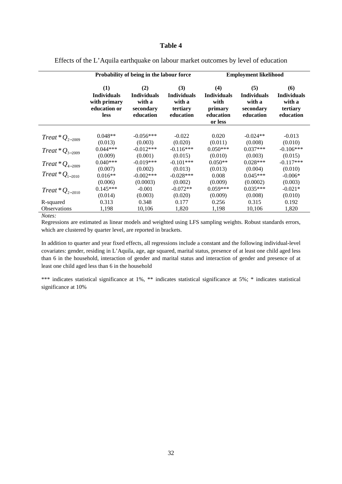|                      | Probability of being in the labour force                                 |                                                               |                                                              |                                                                      | <b>Employment likelihood</b>                                  |                                                              |  |
|----------------------|--------------------------------------------------------------------------|---------------------------------------------------------------|--------------------------------------------------------------|----------------------------------------------------------------------|---------------------------------------------------------------|--------------------------------------------------------------|--|
|                      | (1)<br><b>Individuals</b><br>with primary<br>education or<br><b>less</b> | (2)<br><b>Individuals</b><br>with a<br>secondary<br>education | (3)<br><b>Individuals</b><br>with a<br>tertiary<br>education | (4)<br><b>Individuals</b><br>with<br>primary<br>education<br>or less | (5)<br><b>Individuals</b><br>with a<br>secondary<br>education | (6)<br><b>Individuals</b><br>with a<br>tertiary<br>education |  |
| Treat * $Q_{2-2009}$ | $0.048**$                                                                | $-0.056***$                                                   | $-0.022$                                                     | 0.020                                                                | $-0.024**$                                                    | $-0.013$                                                     |  |
| $Treat * Q_{3-2009}$ | (0.013)<br>$0.044***$                                                    | (0.003)<br>$-0.012***$                                        | (0.020)<br>$-0.116***$                                       | (0.011)<br>$0.050***$                                                | (0.008)<br>$0.037***$                                         | (0.010)<br>$-0.106***$                                       |  |
|                      | (0.009)                                                                  | (0.001)                                                       | (0.015)                                                      | (0.010)                                                              | (0.003)                                                       | (0.015)                                                      |  |
| $Treat * Q_{4-2009}$ | $0.040***$                                                               | $-0.019***$                                                   | $-0.101***$                                                  | $0.050**$                                                            | $0.028***$                                                    | $-0.117***$                                                  |  |
|                      | (0.007)                                                                  | (0.002)                                                       | (0.013)                                                      | (0.013)                                                              | (0.004)                                                       | (0.010)                                                      |  |
| $Treat * Q_{1-2010}$ | $0.016**$                                                                | $-0.002***$                                                   | $-0.028***$                                                  | 0.008                                                                | $0.045***$                                                    | $-0.006*$                                                    |  |
|                      | (0.006)                                                                  | (0.0003)                                                      | (0.002)                                                      | (0.009)                                                              | (0.0002)                                                      | (0.003)                                                      |  |
| Treat * $Q_{2-2010}$ | $0.145***$                                                               | $-0.001$                                                      | $-0.072**$                                                   | $0.059***$                                                           | $0.035***$                                                    | $-0.021*$                                                    |  |
|                      | (0.014)                                                                  | (0.003)                                                       | (0.020)                                                      | (0.009)                                                              | (0.008)                                                       | (0.010)                                                      |  |
| R-squared            | 0.313                                                                    | 0.348                                                         | 0.177                                                        | 0.256                                                                | 0.315                                                         | 0.192                                                        |  |
| <b>Observations</b>  | 1,198                                                                    | 10,106                                                        | 1,820                                                        | 1,198                                                                | 10,106                                                        | 1,820                                                        |  |

Effects of the L'Aquila earthquake on labour market outcomes by level of education

*Notes:*

Regressions are estimated as linear models and weighted using LFS sampling weights. Robust standards errors, which are clustered by quarter level, are reported in brackets.

In addition to quarter and year fixed effects, all regressions include a constant and the following individual-level covariates: gender, residing in L'Aquila, age, age squared, marital status, presence of at least one child aged less than 6 in the household, interaction of gender and marital status and interaction of gender and presence of at least one child aged less than 6 in the household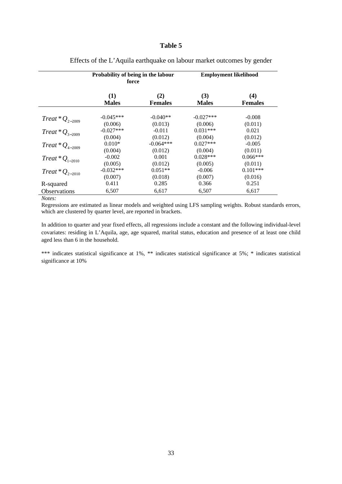|                      | Probability of being in the labour<br>force |                | <b>Employment likelihood</b> |                |  |
|----------------------|---------------------------------------------|----------------|------------------------------|----------------|--|
|                      | (1)                                         | (2)            | (3)                          | (4)            |  |
|                      | <b>Males</b>                                | <b>Females</b> | <b>Males</b>                 | <b>Females</b> |  |
| Treat * $Q_{2-2009}$ | $-0.045***$                                 | $-0.040**$     | $-0.027***$                  | $-0.008$       |  |
|                      | (0.006)                                     | (0.013)        | (0.006)                      | (0.011)        |  |
| Treat * $Q_{3-2009}$ | $-0.027***$                                 | $-0.011$       | $0.031***$                   | 0.021          |  |
|                      | (0.004)                                     | (0.012)        | (0.004)                      | (0.012)        |  |
| Treat * $Q_{4-2009}$ | $0.010*$                                    | $-0.064***$    | $0.027***$                   | $-0.005$       |  |
|                      | (0.004)                                     | (0.012)        | (0.004)                      | (0.011)        |  |
| Treat * $Q_{1-2010}$ | $-0.002$                                    | 0.001          | $0.028***$                   | $0.066***$     |  |
|                      | (0.005)                                     | (0.012)        | (0.005)                      | (0.011)        |  |
| $Treat * Q_{2-2010}$ | $-0.032***$                                 | $0.051**$      | $-0.006$                     | $0.101***$     |  |
|                      | (0.007)                                     | (0.018)        | (0.007)                      | (0.016)        |  |
| R-squared            | 0.411                                       | 0.285          | 0.366                        | 0.251          |  |
| <b>Observations</b>  | 6,507                                       | 6,617          | 6,507                        | 6,617          |  |

Effects of the L'Aquila earthquake on labour market outcomes by gender

*Notes:*

Regressions are estimated as linear models and weighted using LFS sampling weights. Robust standards errors, which are clustered by quarter level, are reported in brackets.

In addition to quarter and year fixed effects, all regressions include a constant and the following individual-level covariates: residing in L'Aquila, age, age squared, marital status, education and presence of at least one child aged less than 6 in the household.